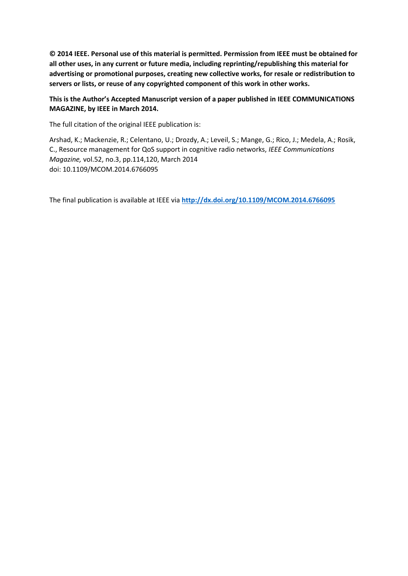**© 2014 IEEE. Personal use of this material is permitted. Permission from IEEE must be obtained for all other uses, in any current or future media, including reprinting/republishing this material for advertising or promotional purposes, creating new collective works, for resale or redistribution to servers or lists, or reuse of any copyrighted component of this work in other works.** 

# **This is the Author's Accepted Manuscript version of a paper published in IEEE COMMUNICATIONS MAGAZINE, by IEEE in March 2014.**

The full citation of the original IEEE publication is:

Arshad, K.; Mackenzie, R.; Celentano, U.; Drozdy, A.; Leveil, S.; Mange, G.; Rico, J.; Medela, A.; Rosik, C., Resource management for QoS support in cognitive radio networks, *IEEE Communications Magazine,* vol.52, no.3, pp.114,120, March 2014 doi: 10.1109/MCOM.2014.6766095

The final publication is available at IEEE via **<http://dx.doi.org/10.1109/MCOM.2014.6766095>**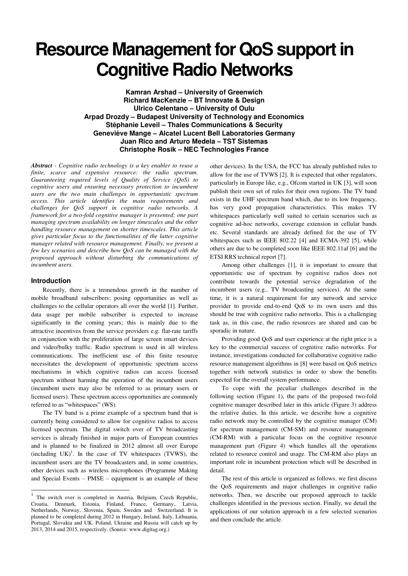# **Resource Management for QoS support in Cognitive Radio Networks**

**Kamran Arshad – University of Greenwich Richard MacKenzie – BT Innovate & Design Ulrico Celentano – University of Oulu Arpad Drozdy – Budapest University of Technology and Economics Stéphanie Leveil – Thales Communications & Security Geneviève Mange – Alcatel Lucent Bell Laboratories Germany Juan Rico and Arturo Medela – TST Sistemas Christophe Rosik – NEC Technologies France** 

*Abstract - Cognitive radio technology is a key enabler to reuse a finite, scarce and expensive resource: the radio spectrum. Guaranteeing required levels of Quality of Service (QoS) to cognitive users and ensuring necessary protection to incumbent users are the two main challenges in opportunistic spectrum access. This article identifies the main requirements and challenges for QoS support in cognitive radio networks. A framework for a two-fold cognitive manager is presented; one part managing spectrum availability on longer timescales and the other handling resource management on shorter timescales. This article gives particular focus to the functionalities of the latter cognitive manager related with resource management. Finally, we present a few key scenarios and describe how QoS can be managed with the proposed approach without disturbing the communications of incumbent users.* 

## **Introduction**

Recently, there is a tremendous growth in the number of mobile broadband subscribers; posing opportunities as well as challenges to the cellular operators all over the world [1]. Further, data usage per mobile subscriber is expected to increase significantly in the coming years; this is mainly due to the attractive incentives from the service providers e.g. flat-rate tariffs in conjunction with the proliferation of large screen smart devices and video/bulky traffic. Radio spectrum is used in all wireless communications. The inefficient use of this finite resource necessitates the development of opportunistic spectrum access mechanisms in which cognitive radios can access licensed spectrum without harming the operation of the incumbent users (incumbent users may also be referred to as primary users or licensed users). These spectrum access opportunities are commonly referred to as "whitespaces" (WS).

The TV band is a prime example of a spectrum band that is currently being considered to allow for cognitive radios to access licensed spectrum. The digital switch over of TV broadcasting services is already finished in major parts of European countries and is planned to be finalized in 2012 almost all over Europe  $(including UK)<sup>1</sup>$ . In the case of TV whitespaces (TVWS), the incumbent users are the TV broadcasters and, in some countries, other devices such as wireless microphones (Programme Making and Special Events – PMSE – equipment is an example of these

other devices). In the USA, the FCC has already published rules to allow for the use of TVWS [2]. It is expected that other regulators, particularly in Europe like, e.g., Ofcom started in UK [3], will soon publish their own set of rules for their own regions. The TV band exists in the UHF spectrum band which, due to its low frequency, has very good propagation characteristics. This makes TV whitespaces particularly well suited to certain scenarios such as cognitive ad-hoc networks, coverage extension in cellular bands etc. Several standards are already defined for the use of TV whitespaces such as IEEE 802.22 [4] and ECMA-392 [5], while others are due to be completed soon like IEEE 802.11af [6] and the ETSI RRS technical report [7].

Among other challenges [1], it is important to ensure that opportunistic use of spectrum by cognitive radios does not contribute towards the potential service degradation of the incumbent users (e.g., TV broadcasting services). At the same time, it is a natural requirement for any network and service provider to provide end-to-end QoS to its own users and this should be true with cognitive radio networks. This is a challenging task as, in this case, the radio resources are shared and can be sporadic in nature.

Providing good QoS and user experience at the right price is a key to the commercial success of cognitive radio networks. For instance, investigations conducted for collaborative cognitive radio resource management algorithms in [8] were based on QoS metrics together with network statistics in order to show the benefits expected for the overall system performance.

To cope with the peculiar challenges described in the following section (Figure 1), the parts of the proposed two-fold cognitive manager described later in this article (Figure 3) address the relative duties. In this article, we describe how a cognitive radio network may be controlled by the cognitive manager (CM) for spectrum management (CM-SM) and resource management (CM-RM) with a particular focus on the cognitive resource management part (Figure 4) which handles all the operations related to resource control and usage. The CM-RM also plays an important role in incumbent protection which will be described in detail.

The rest of this article is organized as follows. we first discuss the QoS requirements and major challenges in cognitive radio networks. Then, we describe our proposed approach to tackle challenges identified in the previous section. Finally, we detail the applications of our solution approach in a few selected scenarios and then conclude the article.

<sup>-&</sup>lt;br>1 The switch over is completed in Austria, Belgium, Czech Republic, Croatia, Denmark, Estonia, Finland, France, Germany,. Latvia, Netherlands, Norway, Slovenia, Spain, Sweden and Switzerland. It is planned to be completed during 2012 in Hungary, Ireland, Italy, Lithuania, Portugal, Slovakia and UK. Poland, Ukraine and Russia will catch up by 2013, 2014 and 2015, respectively. (Source: www.digitag.org.)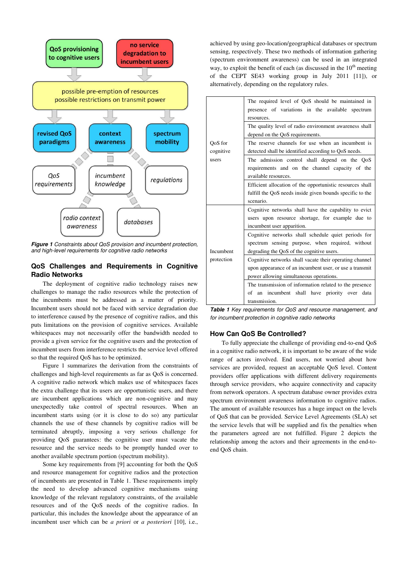

*Figure 1 Constraints about QoS provision and incumbent protection, and high-level requirements for cognitive radio networks* 

# **QoS Challenges and Requirements in Cognitive Radio Networks**

The deployment of cognitive radio technology raises new challenges to manage the radio resources while the protection of the incumbents must be addressed as a matter of priority. Incumbent users should not be faced with service degradation due to interference caused by the presence of cognitive radios, and this puts limitations on the provision of cognitive services. Available whitespaces may not necessarily offer the bandwidth needed to provide a given service for the cognitive users and the protection of incumbent users from interference restricts the service level offered so that the required QoS has to be optimized.

Figure 1 summarizes the derivation from the constraints of challenges and high-level requirements as far as QoS is concerned. A cognitive radio network which makes use of whitespaces faces the extra challenge that its users are opportunistic users, and there are incumbent applications which are non-cognitive and may unexpectedly take control of spectral resources. When an incumbent starts using (or it is close to do so) any particular channels the use of these channels by cognitive radios will be terminated abruptly, imposing a very serious challenge for providing QoS guarantees: the cognitive user must vacate the resource and the service needs to be promptly handed over to another available spectrum portion (spectrum mobility).

Some key requirements from [9] accounting for both the QoS and resource management for cognitive radios and the protection of incumbents are presented in Table 1. These requirements imply the need to develop advanced cognitive mechanisms using knowledge of the relevant regulatory constraints, of the available resources and of the QoS needs of the cognitive radios. In particular, this includes the knowledge about the appearance of an incumbent user which can be *a priori* or *a posteriori* [10], i.e.,

achieved by using geo-location/geographical databases or spectrum sensing, respectively. These two methods of information gathering (spectrum environment awareness) can be used in an integrated way, to exploit the benefit of each (as discussed in the  $10<sup>th</sup>$  meeting of the CEPT SE43 working group in July 2011 [11]), or alternatively, depending on the regulatory rules.

|            | The required level of QoS should be maintained in<br>presence of variations in the available spectrum<br>resources. |
|------------|---------------------------------------------------------------------------------------------------------------------|
|            | The quality level of radio environment awareness shall                                                              |
|            | depend on the QoS requirements.                                                                                     |
| OoS for    | The reserve channels for use when an incumbent is                                                                   |
| cognitive  | detected shall be identified according to QoS needs.                                                                |
| users      | The admission control shall depend on the QoS                                                                       |
|            | requirements and on the channel capacity of the                                                                     |
|            | available resources.                                                                                                |
|            | Efficient allocation of the opportunistic resources shall                                                           |
|            | fulfill the QoS needs inside given bounds specific to the                                                           |
|            | scenario.                                                                                                           |
|            | Cognitive networks shall have the capability to evict                                                               |
|            | users upon resource shortage, for example due to                                                                    |
|            | incumbent user apparition.                                                                                          |
|            | Cognitive networks shall schedule quiet periods for                                                                 |
|            | spectrum sensing purpose, when required, without                                                                    |
| Incumbent  | degrading the QoS of the cognitive users.                                                                           |
| protection | Cognitive networks shall vacate their operating channel                                                             |
|            | upon appearance of an incumbent user, or use a transmit                                                             |
|            | power allowing simultaneous operations.                                                                             |
|            | The transmission of information related to the presence                                                             |
|            | an incumbent shall have priority over<br>of<br>data                                                                 |
|            | transmission.                                                                                                       |
|            |                                                                                                                     |

*Table 1 Key requirements for QoS and resource management, and for incumbent protection in cognitive radio networks* 

#### **How Can QoS Be Controlled?**

To fully appreciate the challenge of providing end-to-end QoS in a cognitive radio network, it is important to be aware of the wide range of actors involved. End users, not worried about how services are provided, request an acceptable QoS level. Content providers offer applications with different delivery requirements through service providers, who acquire connectivity and capacity from network operators. A spectrum database owner provides extra spectrum environment awareness information to cognitive radios. The amount of available resources has a huge impact on the levels of QoS that can be provided. Service Level Agreements (SLA) set the service levels that will be supplied and fix the penalties when the parameters agreed are not fulfilled. Figure 2 depicts the relationship among the actors and their agreements in the end-toend QoS chain.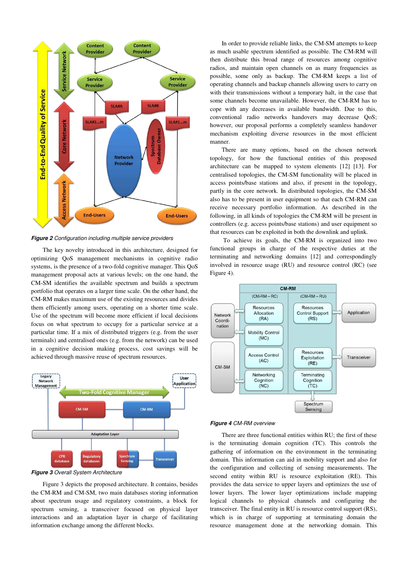

*Figure 2 Configuration including multiple service providers* 

The key novelty introduced in this architecture, designed for optimizing QoS management mechanisms in cognitive radio systems, is the presence of a two-fold cognitive manager. This QoS management proposal acts at various levels; on the one hand, the CM-SM identifies the available spectrum and builds a spectrum portfolio that operates on a larger time scale. On the other hand, the CM-RM makes maximum use of the existing resources and divides them efficiently among users, operating on a shorter time scale. Use of the spectrum will become more efficient if local decisions focus on what spectrum to occupy for a particular service at a particular time. If a mix of distributed triggers (e.g. from the user terminals) and centralised ones (e.g. from the network) can be used in a cognitive decision making process, cost savings will be achieved through massive reuse of spectrum resources.



*Figure 3 Overall System Architecture* 

Figure 3 depicts the proposed architecture. It contains, besides the CM-RM and CM-SM, two main databases storing information about spectrum usage and regulatory constraints, a block for spectrum sensing, a transceiver focused on physical layer interactions and an adaptation layer in charge of facilitating information exchange among the different blocks.

In order to provide reliable links, the CM-SM attempts to keep as much usable spectrum identified as possible. The CM-RM will then distribute this broad range of resources among cognitive radios, and maintain open channels on as many frequencies as possible, some only as backup. The CM-RM keeps a list of operating channels and backup channels allowing users to carry on with their transmissions without a temporary halt, in the case that some channels become unavailable. However, the CM-RM has to cope with any decreases in available bandwidth. Due to this, conventional radio networks handovers may decrease QoS; however, our proposal performs a completely seamless handover mechanism exploiting diverse resources in the most efficient manner.

There are many options, based on the chosen network topology, for how the functional entities of this proposed architecture can be mapped to system elements [12] [13]. For centralised topologies, the CM-SM functionality will be placed in access points/base stations and also, if present in the topology, partly in the core network. In distributed topologies, the CM-SM also has to be present in user equipment so that each CM-RM can receive necessary portfolio information. As described in the following, in all kinds of topologies the CM-RM will be present in controllers (e.g. access points/base stations) and user equipment so that resources can be exploited in both the downlink and uplink.

 To achieve its goals, the CM-RM is organized into two functional groups in charge of the respective duties at the terminating and networking domains [12] and correspondingly involved in resource usage (RU) and resource control (RC) (see Figure 4).



#### *Figure 4 CM-RM overview*

There are three functional entities within RU; the first of these is the terminating domain cognition (TC). This controls the gathering of information on the environment in the terminating domain. This information can aid in mobility support and also for the configuration and collecting of sensing measurements. The second entity within RU is resource exploitation (RE). This provides the data service to upper layers and optimizes the use of lower layers. The lower layer optimizations include mapping logical channels to physical channels and configuring the transceiver. The final entity in RU is resource control support (RS), which is in charge of supporting at terminating domain the resource management done at the networking domain. This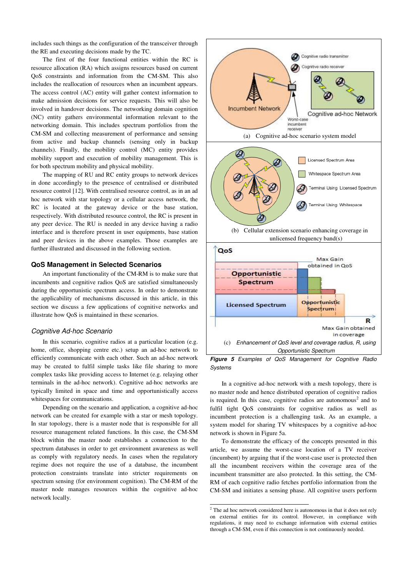includes such things as the configuration of the transceiver through the RE and executing decisions made by the TC.

The first of the four functional entities within the RC is resource allocation (RA) which assigns resources based on current QoS constraints and information from the CM-SM. This also includes the reallocation of resources when an incumbent appears. The access control (AC) entity will gather context information to make admission decisions for service requests. This will also be involved in handover decisions. The networking domain cognition (NC) entity gathers environmental information relevant to the networking domain. This includes spectrum portfolios from the CM-SM and collecting measurement of performance and sensing from active and backup channels (sensing only in backup channels). Finally, the mobility control (MC) entity provides mobility support and execution of mobility management. This is for both spectrum mobility and physical mobility.

The mapping of RU and RC entity groups to network devices in done accordingly to the presence of centralised or distributed resource control [12]. With centralised resource control, as in an ad hoc network with star topology or a cellular access network, the RC is located at the gateway device or the base station, respectively. With distributed resource control, the RC is present in any peer device. The RU is needed in any device having a radio interface and is therefore present in user equipments, base station and peer devices in the above examples. Those examples are further illustrated and discussed in the following section.

#### **QoS Management in Selected Scenarios**

An important functionality of the CM-RM is to make sure that incumbents and cognitive radios QoS are satisfied simultaneously during the opportunistic spectrum access. In order to demonstrate the applicability of mechanisms discussed in this article, in this section we discuss a few applications of cognitive networks and illustrate how QoS is maintained in these scenarios.

#### *Cognitive Ad-hoc Scenario*

In this scenario, cognitive radios at a particular location (e.g. home, office, shopping centre etc.) setup an ad-hoc network to efficiently communicate with each other. Such an ad-hoc network may be created to fulfil simple tasks like file sharing to more complex tasks like providing access to Internet (e.g. relaying other terminals in the ad-hoc network). Cognitive ad-hoc networks are typically limited in space and time and opportunistically access whitespaces for communications.

Depending on the scenario and application, a cognitive ad-hoc network can be created for example with a star or mesh topology. In star topology, there is a master node that is responsible for all resource management related functions. In this case, the CM-SM block within the master node establishes a connection to the spectrum databases in order to get environment awareness as well as comply with regulatory needs. In cases when the regulatory regime does not require the use of a database, the incumbent protection constraints translate into stricter requirements on spectrum sensing (for environment cognition). The CM-RM of the master node manages resources within the cognitive ad-hoc network locally.





In a cognitive ad-hoc network with a mesh topology, there is no master node and hence distributed operation of cognitive radios is required. In this case, cognitive radios are autonomous<sup>2</sup> and to fulfil tight QoS constraints for cognitive radios as well as incumbent protection is a challenging task. As an example, a system model for sharing TV whitespaces by a cognitive ad-hoc network is shown in Figure 5a.

To demonstrate the efficacy of the concepts presented in this article, we assume the worst-case location of a TV receiver (incumbent) by arguing that if the worst-case user is protected then all the incumbent receivers within the coverage area of the incumbent transmitter are also protected. In this setting, the CM-RM of each cognitive radio fetches portfolio information from the CM-SM and initiates a sensing phase. All cognitive users perform

 2 The ad hoc network considered here is autonomous in that it does not rely on external entities for its control. However, in compliance with regulations, it may need to exchange information with external entities through a CM-SM, even if this connection is not continuously needed.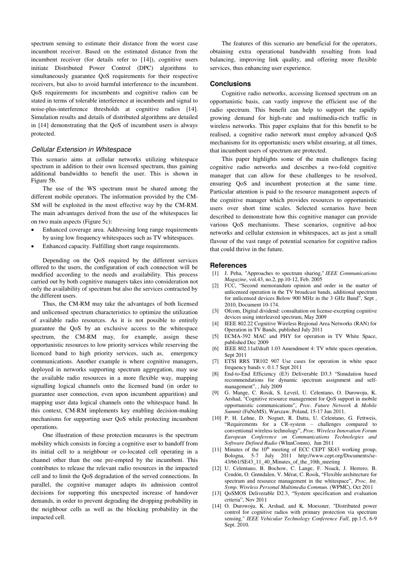spectrum sensing to estimate their distance from the worst case incumbent receiver. Based on the estimated distance from the incumbent receiver (for details refer to [14]), cognitive users initiate Distributed Power Control (DPC) algorithms to simultaneously guarantee QoS requirements for their respective receivers, but also to avoid harmful interference to the incumbent. QoS requirements for incumbents and cognitive radios can be stated in terms of tolerable interference at incumbents and signal to noise-plus-interference thresholds at cognitive radios [14]. Simulation results and details of distributed algorithms are detailed in [14] demonstrating that the QoS of incumbent users is always protected.

#### *Cellular Extension in Whitespace*

This scenario aims at cellular networks utilizing whitespace spectrum in addition to their own licensed spectrum, thus gaining additional bandwidths to benefit the user. This is shown in Figure 5b.

The use of the WS spectrum must be shared among the different mobile operators. The information provided by the CM-SM will be exploited in the most effective way by the CM-RM. The main advantages derived from the use of the whitespaces lie on two main aspects (Figure 5c):

- Enhanced coverage area. Addressing long range requirements by using low frequency whitespaces such as TV whitespaces.
- Enhanced capacity. Fulfilling short range requirements.

Depending on the QoS required by the different services offered to the users, the configuration of each connection will be modified according to the needs and availability. This process carried out by both cognitive managers takes into consideration not only the availability of spectrum but also the services contracted by the different users.

Thus, the CM-RM may take the advantages of both licensed and unlicensed spectrum characteristics to optimize the utilization of available radio resources. As it is not possible to entirely guarantee the QoS by an exclusive access to the whitespace spectrum, the CM-RM may, for example, assign these opportunistic resources to low priority services while reserving the licenced band to high priority services, such as, emergency communications. Another example is where cognitive managers, deployed in networks supporting spectrum aggregation, may use the available radio resources in a more flexible way, mapping signalling logical channels onto the licensed band (in order to guarantee user connection, even upon incumbent apparition) and mapping user data logical channels onto the whitespace band. In this context, CM-RM implements key enabling decision-making mechanisms for supporting user QoS while protecting incumbent operations.

One illustration of these protection measures is the spectrum mobility which consists in forcing a cognitive user to handoff from its initial cell to a neighbour or co-located cell operating in a channel other than the one pre-empted by the incumbent. This contributes to release the relevant radio resources in the impacted cell and to limit the QoS degradation of the served connections. In parallel, the cognitive manager adapts its admission control decisions for supporting this unexpected increase of handover demands, in order to prevent degrading the dropping probability in the neighbour cells as well as the blocking probability in the impacted cell.

The features of this scenario are beneficial for the operators, obtaining extra operational bandwidth resulting from load balancing, improving link quality, and offering more flexible services, thus enhancing user experience.

#### **Conclusions**

Cognitive radio networks, accessing licensed spectrum on an opportunistic basis, can vastly improve the efficient use of the radio spectrum. This benefit can help to support the rapidly growing demand for high-rate and multimedia-rich traffic in wireless networks. This paper explains that for this benefit to be realised, a cognitive radio network must employ advanced QoS mechanisms for its opportunistic users whilst ensuring, at all times, that incumbent users of spectrum are protected.

This paper highlights some of the main challenges facing cognitive radio networks and describes a two-fold cognitive manager that can allow for these challenges to be resolved, ensuring QoS and incumbent protection at the same time. Particular attention is paid to the resource management aspects of the cognitive manager which provides resources to opportunistic users over short time scales. Selected scenarios have been described to demonstrate how this cognitive manager can provide various QoS mechanisms. These scenarios, cognitive ad-hoc networks and cellular extension in whitespaces, act as just a small flavour of the vast range of potential scenarios for cognitive radios that could thrive in the future.

#### **References**

- [1] J. Peha, "Approaches to spectrum sharing," *IEEE Communications Magazine*, vol.43, no.2, pp.10-12, Feb. 2005
- [2] FCC, "Second memorandum opinion and order in the matter of unlicensed operation in the TV broadcast bands, additional spectrum for unlicensed devices Below 900 MHz in the 3 GHz Band", Sept , 2010, Document 10-174.
- [3] Ofcom, Digital dividend: consultation on license-excepting cognitive devices using interleaved spectrum, May 2009
- [4] IEEE 802.22 Cognitive Wireless Regional Area Networks (RAN) for Operation in TV Bands, published July 2011
- [5] ECMA-392 MAC and PHY for operation in TV White Space, published Dec 2009
- [6] IEEE 802.11af/draft 1.03 Amendment 4: TV white spaces operation, Sept 2011
- [7] ETSI RRS TR102 907 Use cases for operation in white space frequency bands v. 0.1.7 Sept 2011
- End-to-End Efficiency (E3) Deliverable D3.3 "Simulation based recommendations for dynamic spectrum assignment and selfmanagement", , July 2009
- [9] G. Mange, C. Rosik, S. Leveil, U. Celentano, O. Durowoju, K. Arshad, "Cognitive resource management for QoS support in mobile opportunistic communications", *Proc. Future Network & Mobile Summit* (FuNeMS), Warszaw, Poland, 15-17 Jun 2011.
- [10] P. H. Lehne, D. Noguet, R. Datta, U. Celentano, G. Fettweis, "Requirements for a CR-system – challenges compared to conventional wireless technology", *Proc. Wireless Innovation Forum European Conference on Communications Technologies and Software Defined Radio* (WInnComm), Jun 2011
- [11] Minutes of the  $10<sup>th</sup>$  meeting of ECC CEPT SE43 working group, Bologna, 5-7 July 2011 http://www.cept.org/Documents/se-43/661/SE43\_11\_40\_Minutes\_of\_the\_10th\_meeting
- [12] U. Celentano, B. Bochow, C. Lange, F. Noack, J. Herrero, B. Cendón, O. Grøndalen, V. Mérat, C. Rosik, "Flexible architecture for spectrum and resource management in the whitespace", *Proc, Int. Symp. Wireless Personal Multimedia Commun.* (WPMC), Oct 2011
- [13] QoSMOS Deliverable D2.3, "System specification and evaluation criteria", Nov 2011
- [14] O. Durowoju, K. Arshad, and K. Moessner, "Distributed power control for cognitive radios with primary protection via spectrum sensing," *IEEE Vehicular Technology Conference Fall*, pp.1-5, 6-9 Sept. 2010.